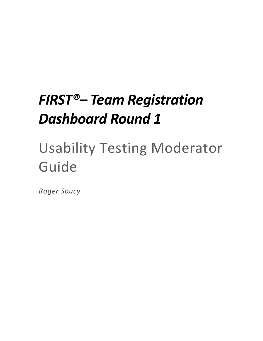# *FIRST®– Team Registration Dashboard Round 1*

# Usability Testing Moderator Guide

*Roger Soucy*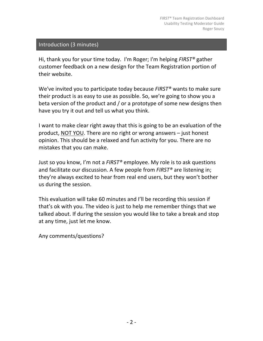#### Introduction (3 minutes)

Hi, thank you for your time today. I'm Roger; I'm helping *FIRST<sup>®</sup>* gather customer feedback on a new design for the Team Registration portion of their website.

We've invited you to participate today because *FIRST<sup>®</sup>* wants to make sure their product is as easy to use as possible. So, we're going to show you a beta version of the product and / or a prototype of some new designs then have you try it out and tell us what you think.

I want to make clear right away that this is going to be an evaluation of the product, NOT YOU. There are no right or wrong answers  $-$  just honest opinion. This should be a relaxed and fun activity for you. There are no mistakes that you can make.

Just so you know, I'm not a *FIRST®* employee. My role is to ask questions and facilitate our discussion. A few people from *FIRST<sup>®</sup>* are listening in; they're always excited to hear from real end users, but they won't bother us during the session.

This evaluation will take 60 minutes and I'll be recording this session if that's ok with you. The video is just to help me remember things that we talked about. If during the session you would like to take a break and stop at any time, just let me know.

Any comments/questions?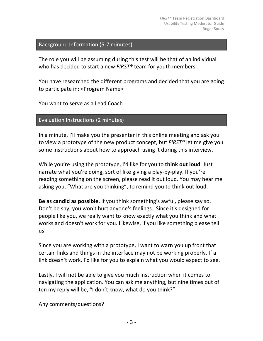#### Background Information (5-7 minutes)

The role you will be assuming during this test will be that of an individual who has decided to start a new *FIRST®* team for youth members.

You have researched the different programs and decided that you are going to participate in: <Program Name>

You want to serve as a Lead Coach

Evaluation Instructions (2 minutes)

In a minute, I'll make you the presenter in this online meeting and ask you to view a prototype of the new product concept, but *FIRST<sup>®</sup>* let me give you some instructions about how to approach using it during this interview.

While you're using the prototype, I'd like for you to **think out loud**. Just narrate what you're doing, sort of like giving a play-by-play. If you're reading something on the screen, please read it out loud. You may hear me asking you, "What are you thinking", to remind you to think out loud.

**Be as candid as possible.** If you think something's awful, please say so. Don't be shy; you won't hurt anyone's feelings. Since it's designed for people like you, we really want to know exactly what you think and what works and doesn't work for you. Likewise, if you like something please tell us.

Since you are working with a prototype, I want to warn you up front that certain links and things in the interface may not be working properly. If a link doesn't work, I'd like for you to explain what you would expect to see.

Lastly, I will not be able to give you much instruction when it comes to navigating the application. You can ask me anything, but nine times out of ten my reply will be, "I don't know, what do you think?"

Any comments/questions?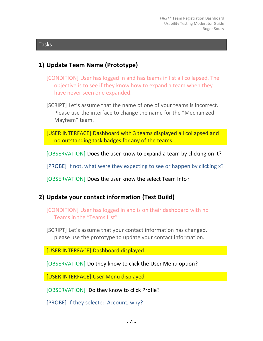#### Tasks

#### **1) Update Team Name (Prototype)**

- [CONDITION] User has logged in and has teams in list all collapsed. The objective is to see if they know how to expand a team when they have never seen one expanded.
- [SCRIPT] Let's assume that the name of one of your teams is incorrect. Please use the interface to change the name for the "Mechanized Mayhem" team.
- [USER INTERFACE] Dashboard with 3 teams displayed all collapsed and no outstanding task badges for any of the teams
- [OBSERVATION] Does the user know to expand a team by clicking on it?

[PROBE] If not, what were they expecting to see or happen by clicking x?

[OBSERVATION] Does the user know the select Team Info?

#### **2)** Update your contact information (Test Build)

[CONDITION] User has logged in and is on their dashboard with no Teams in the "Teams List"

[SCRIPT] Let's assume that your contact information has changed, please use the prototype to update your contact information.

[USER INTERFACE] Dashboard displayed

[OBSERVATION] Do they know to click the User Menu option?

[USER INTERFACE] User Menu displayed

[OBSERVATION] Do they know to click Profle?

[PROBE] If they selected Account, why?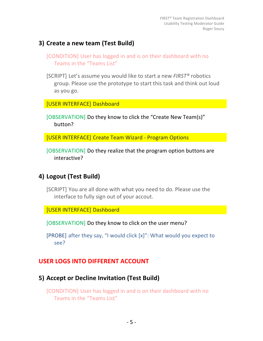#### **3)** Create a new team (Test Build)

- [CONDITION] User has logged in and is on their dashboard with no Teams in the "Teams List"
- [SCRIPT] Let's assume you would like to start a new *FIRST<sup>®</sup>* robotics group. Please use the prototype to start this task and think out loud as you go.

[USER INTERFACE] Dashboard

[OBSERVATION] Do they know to click the "Create New Team(s)" button?

[USER INTERFACE] Create Team Wizard - Program Options

[OBSERVATION] Do they realize that the program option buttons are interactive?

# **4) Logout (Test Build)**

[SCRIPT] You are all done with what you need to do. Please use the interface to fully sign out of your accout.

[USER INTERFACE] Dashboard

[OBSERVATION] Do they know to click on the user menu?

[PROBE] after they say, "I would click  $[x]$ ": What would you expect to see?

#### **USER LOGS INTO DIFFERENT ACCOUNT**

#### **5)** Accept or Decline Invitation (Test Build)

[CONDITION] User has logged in and is on their dashboard with no Teams in the "Teams List"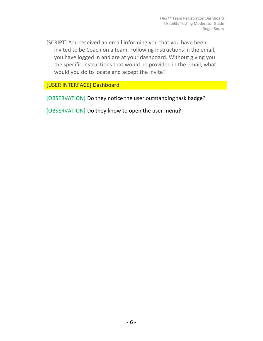[SCRIPT] You received an email informing you that you have been invited to be Coach on a team. Following instructions in the email, you have logged in and are at your dashboard. Without giving you the specific instructions that would be provided in the email, what would you do to locate and accept the invite?

[USER INTERFACE] Dashboard

[OBSERVATION] Do they notice the user outstanding task badge?

[OBSERVATION] Do they know to open the user menu?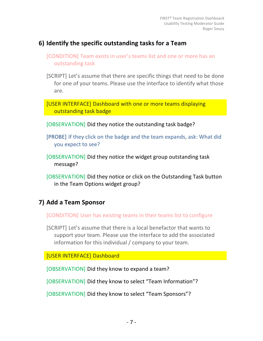#### **6) Identify the specific outstanding tasks for a Team**

- [CONDITION] Team exists in user's teams list and one or more has an outstanding task
- [SCRIPT] Let's assume that there are specific things that need to be done for one of your teams. Please use the interface to identify what those are.
- [USER INTERFACE] Dashboard with one or more teams displaying outstanding task badge
- [OBSERVATION] Did they notice the outstanding task badge?
- [PROBE] If they click on the badge and the team expands, ask: What did you expect to see?
- [OBSERVATION] Did they notice the widget group outstanding task message?
- [OBSERVATION] Did they notice or click on the Outstanding Task button in the Team Options widget group?

# **7) Add a Team Sponsor**

[CONDITION] User has existing teams in their teams list to configure

[SCRIPT] Let's assume that there is a local benefactor that wants to support your team. Please use the interface to add the associated information for this individual  $/$  company to your team.

[USER INTERFACE] Dashboard

[OBSERVATION] Did they know to expand a team?

[OBSERVATION] Did they know to select "Team Information"?

[OBSERVATION] Did they know to select "Team Sponsors"?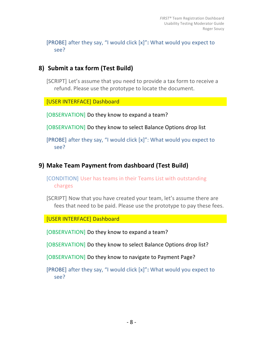[PROBE] after they say, "I would click [x]": What would you expect to see?

### **8)** Submit a tax form (Test Build)

[SCRIPT] Let's assume that you need to provide a tax form to receive a refund. Please use the prototype to locate the document.

[USER INTERFACE] Dashboard

[OBSERVATION] Do they know to expand a team?

[OBSERVATION] Do they know to select Balance Options drop list

[PROBE] after they say, "I would click  $[x]$ ": What would you expect to see?

# **9) Make Team Payment from dashboard (Test Build)**

[CONDITION] User has teams in their Teams List with outstanding charges

[SCRIPT] Now that you have created your team, let's assume there are fees that need to be paid. Please use the prototype to pay these fees.

[USER INTERFACE] Dashboard

[OBSERVATION] Do they know to expand a team?

[OBSERVATION] Do they know to select Balance Options drop list?

[OBSERVATION] Do they know to navigate to Payment Page?

[PROBE] after they say, "I would click [x]": What would you expect to see?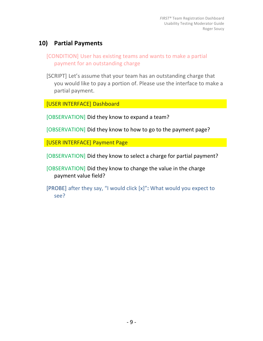### **10) Partial Payments**

- [CONDITION] User has existing teams and wants to make a partial payment for an outstanding charge
- [SCRIPT] Let's assume that your team has an outstanding charge that you would like to pay a portion of. Please use the interface to make a partial payment.

[USER INTERFACE] Dashboard

[OBSERVATION] Did they know to expand a team?

[OBSERVATION] Did they know to how to go to the payment page?

[USER INTERFACE] Payment Page

[OBSERVATION] Did they know to select a charge for partial payment?

[OBSERVATION] Did they know to change the value in the charge payment value field?

[PROBE] after they say, "I would click [x]": What would you expect to see?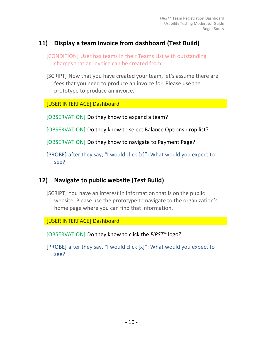#### 11) Display a team invoice from dashboard (Test Build)

[CONDITION] User has teams in their Teams List with outstanding charges that an invoice can be created from

[SCRIPT] Now that you have created your team, let's assume there are fees that you need to produce an invoice for. Please use the prototype to produce an invoice.

[USER INTERFACE] Dashboard

[OBSERVATION] Do they know to expand a team?

[OBSERVATION] Do they know to select Balance Options drop list?

[OBSERVATION] Do they know to navigate to Payment Page?

[PROBE] after they say, "I would click [x]": What would you expect to see?

# **12)** Navigate to public website (Test Build)

[SCRIPT] You have an interest in information that is on the public website. Please use the prototype to navigate to the organization's home page where you can find that information.

[USER INTERFACE] Dashboard

[OBSERVATION] Do they know to click the *FIRST®* logo?

[PROBE] after they say, "I would click  $[x]$ ": What would you expect to see?